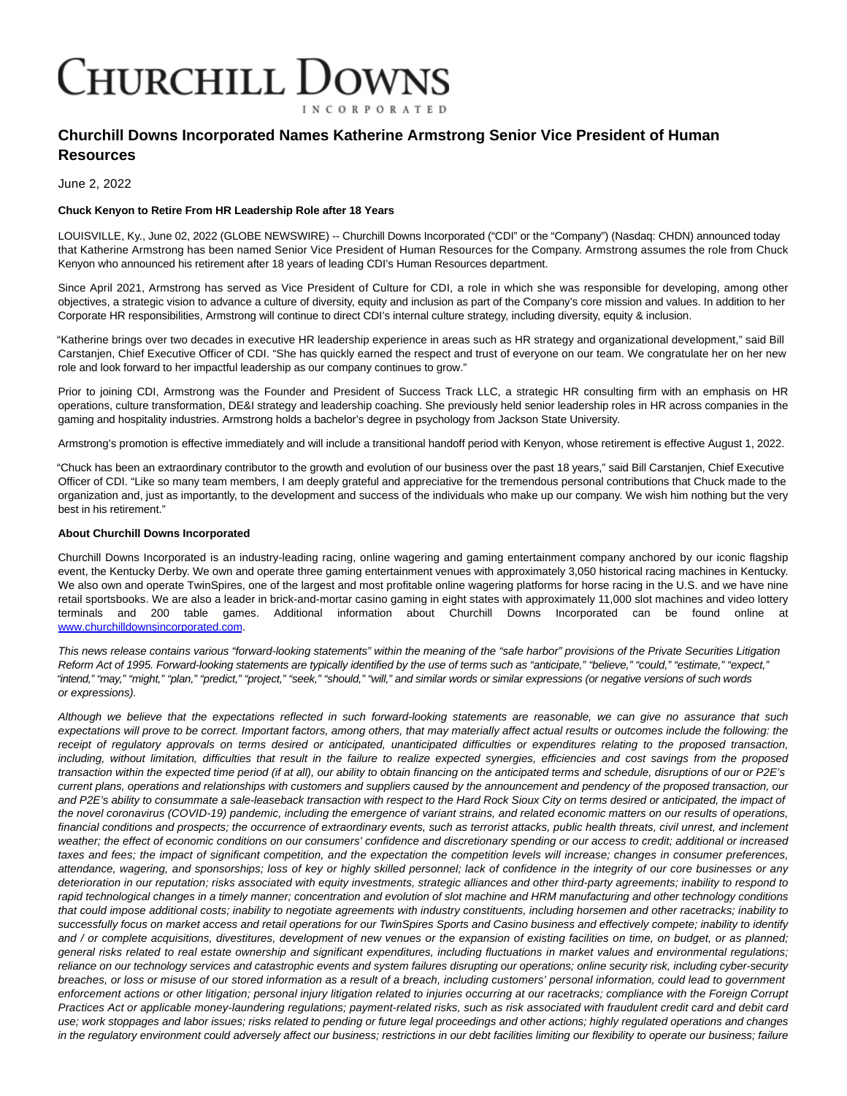## Churchill Downs **INCORPORATED**

## **Churchill Downs Incorporated Names Katherine Armstrong Senior Vice President of Human Resources**

June 2, 2022

## **Chuck Kenyon to Retire From HR Leadership Role after 18 Years**

LOUISVILLE, Ky., June 02, 2022 (GLOBE NEWSWIRE) -- Churchill Downs Incorporated ("CDI" or the "Company") (Nasdaq: CHDN) announced today that Katherine Armstrong has been named Senior Vice President of Human Resources for the Company. Armstrong assumes the role from Chuck Kenyon who announced his retirement after 18 years of leading CDI's Human Resources department.

Since April 2021, Armstrong has served as Vice President of Culture for CDI, a role in which she was responsible for developing, among other objectives, a strategic vision to advance a culture of diversity, equity and inclusion as part of the Company's core mission and values. In addition to her Corporate HR responsibilities, Armstrong will continue to direct CDI's internal culture strategy, including diversity, equity & inclusion.

"Katherine brings over two decades in executive HR leadership experience in areas such as HR strategy and organizational development," said Bill Carstanjen, Chief Executive Officer of CDI. "She has quickly earned the respect and trust of everyone on our team. We congratulate her on her new role and look forward to her impactful leadership as our company continues to grow."

Prior to joining CDI, Armstrong was the Founder and President of Success Track LLC, a strategic HR consulting firm with an emphasis on HR operations, culture transformation, DE&I strategy and leadership coaching. She previously held senior leadership roles in HR across companies in the gaming and hospitality industries. Armstrong holds a bachelor's degree in psychology from Jackson State University.

Armstrong's promotion is effective immediately and will include a transitional handoff period with Kenyon, whose retirement is effective August 1, 2022.

"Chuck has been an extraordinary contributor to the growth and evolution of our business over the past 18 years," said Bill Carstanjen, Chief Executive Officer of CDI. "Like so many team members, I am deeply grateful and appreciative for the tremendous personal contributions that Chuck made to the organization and, just as importantly, to the development and success of the individuals who make up our company. We wish him nothing but the very best in his retirement."

## **About Churchill Downs Incorporated**

Churchill Downs Incorporated is an industry-leading racing, online wagering and gaming entertainment company anchored by our iconic flagship event, the Kentucky Derby. We own and operate three gaming entertainment venues with approximately 3,050 historical racing machines in Kentucky. We also own and operate TwinSpires, one of the largest and most profitable online wagering platforms for horse racing in the U.S. and we have nine retail sportsbooks. We are also a leader in brick-and-mortar casino gaming in eight states with approximately 11,000 slot machines and video lottery terminals and 200 table games. Additional information about Churchill Downs Incorporated can be found online at [www.churchilldownsincorporated.com.](https://www.globenewswire.com/Tracker?data=uu_cvi-aLMPu480D783Ryit0VXUSqODBf6LCP7tz30VTOxtmNKs-0_FgX3c_WASBUONsMPyFElmNryyt-EGPpct_5xb5xnD92cOtCqZzKU-ZaXmIPqsXmJhvKuVBjApH0v5-OvqIVgl4Fh6EX5NxbA==)

This news release contains various "forward-looking statements" within the meaning of the "safe harbor" provisions of the Private Securities Litigation Reform Act of 1995. Forward-looking statements are typically identified by the use of terms such as "anticipate," "believe," "could," "estimate," "expect," "intend," "may," "might," "plan," "predict," "project," "seek," "should," "will," and similar words or similar expressions (or negative versions of such words or expressions).

Although we believe that the expectations reflected in such forward-looking statements are reasonable, we can give no assurance that such expectations will prove to be correct. Important factors, among others, that may materially affect actual results or outcomes include the following: the receipt of regulatory approvals on terms desired or anticipated, unanticipated difficulties or expenditures relating to the proposed transaction, including, without limitation, difficulties that result in the failure to realize expected synergies, efficiencies and cost savings from the proposed transaction within the expected time period (if at all), our ability to obtain financing on the anticipated terms and schedule, disruptions of our or P2E's current plans, operations and relationships with customers and suppliers caused by the announcement and pendency of the proposed transaction, our and P2E's ability to consummate a sale-leaseback transaction with respect to the Hard Rock Sioux City on terms desired or anticipated, the impact of the novel coronavirus (COVID-19) pandemic, including the emergence of variant strains, and related economic matters on our results of operations, financial conditions and prospects; the occurrence of extraordinary events, such as terrorist attacks, public health threats, civil unrest, and inclement weather; the effect of economic conditions on our consumers' confidence and discretionary spending or our access to credit; additional or increased taxes and fees; the impact of significant competition, and the expectation the competition levels will increase; changes in consumer preferences, attendance, wagering, and sponsorships; loss of key or highly skilled personnel; lack of confidence in the integrity of our core businesses or any deterioration in our reputation; risks associated with equity investments, strategic alliances and other third-party agreements; inability to respond to rapid technological changes in a timely manner; concentration and evolution of slot machine and HRM manufacturing and other technology conditions that could impose additional costs; inability to negotiate agreements with industry constituents, including horsemen and other racetracks; inability to successfully focus on market access and retail operations for our TwinSpires Sports and Casino business and effectively compete; inability to identify and / or complete acquisitions, divestitures, development of new venues or the expansion of existing facilities on time, on budget, or as planned; general risks related to real estate ownership and significant expenditures, including fluctuations in market values and environmental regulations; reliance on our technology services and catastrophic events and system failures disrupting our operations; online security risk, including cyber-security breaches, or loss or misuse of our stored information as a result of a breach, including customers' personal information, could lead to government enforcement actions or other litigation; personal injury litigation related to injuries occurring at our racetracks; compliance with the Foreign Corrupt Practices Act or applicable money-laundering regulations; payment-related risks, such as risk associated with fraudulent credit card and debit card use; work stoppages and labor issues; risks related to pending or future legal proceedings and other actions; highly regulated operations and changes in the regulatory environment could adversely affect our business; restrictions in our debt facilities limiting our flexibility to operate our business; failure